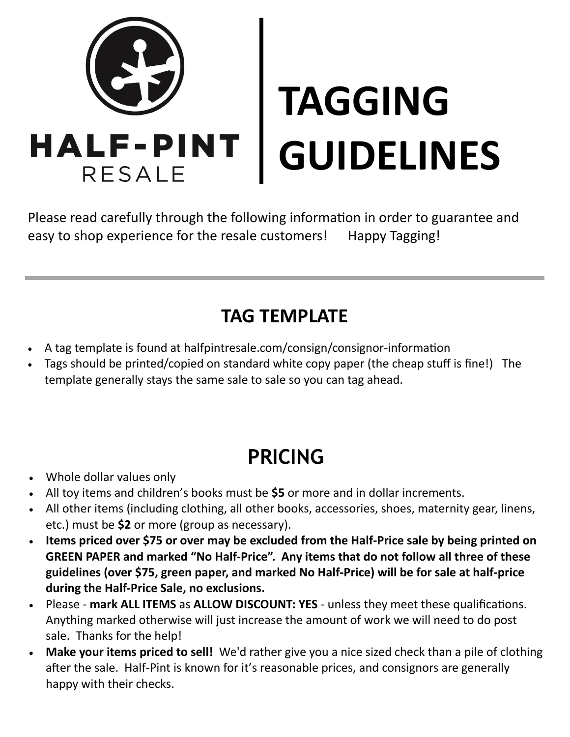

Please read carefully through the following information in order to guarantee and easy to shop experience for the resale customers! Happy Tagging!

### **TAG TEMPLATE**

- A tag template is found at halfpintresale.com/consign/consignor-information
- Tags should be printed/copied on standard white copy paper (the cheap stuff is fine!) The template generally stays the same sale to sale so you can tag ahead.

### **PRICING**

- Whole dollar values only
- All toy items and children's books must be **\$5** or more and in dollar increments.
- All other items (including clothing, all other books, accessories, shoes, maternity gear, linens, etc.) must be **\$2** or more (group as necessary).
- **Items priced over \$75 or over may be excluded from the Half-Price sale by being printed on GREEN PAPER and marked "No Half-Price". Any items that do not follow all three of these guidelines (over \$75, green paper, and marked No Half-Price) will be for sale at half-price during the Half-Price Sale, no exclusions.**
- Please **mark ALL ITEMS** as **ALLOW DISCOUNT: YES**  unless they meet these qualifications. Anything marked otherwise will just increase the amount of work we will need to do post sale. Thanks for the help!
- **Make your items priced to sell!** We'd rather give you a nice sized check than a pile of clothing after the sale. Half-Pint is known for it's reasonable prices, and consignors are generally happy with their checks.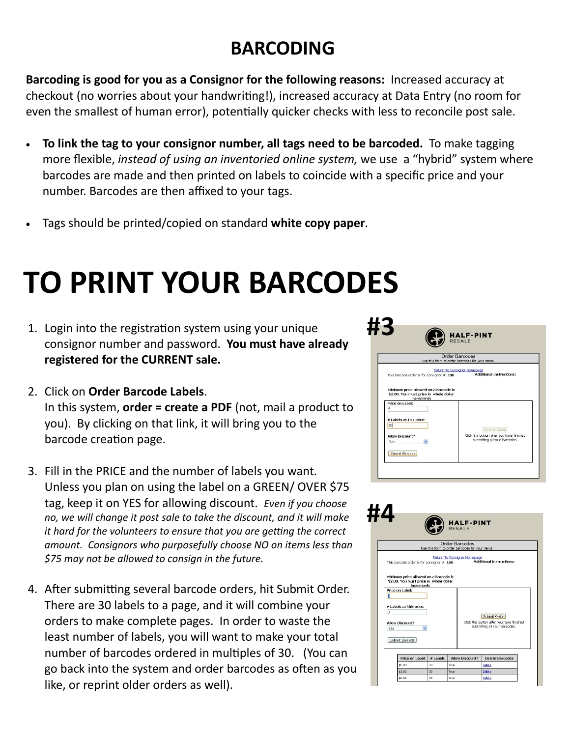### **BARCODING**

**Barcoding is good for you as a Consignor for the following reasons:** Increased accuracy at checkout (no worries about your handwriting!), increased accuracy at Data Entry (no room for even the smallest of human error), potentially quicker checks with less to reconcile post sale.

- **To link the tag to your consignor number, all tags need to be barcoded.** To make tagging more flexible, *instead of using an inventoried online system,* we use a "hybrid" system where barcodes are made and then printed on labels to coincide with a specific price and your number. Barcodes are then affixed to your tags.
- Tags should be printed/copied on standard **white copy paper**.

## **TO PRINT YOUR BARCODES**

- 1. Login into the registration system using your unique consignor number and password. **You must have already registered for the CURRENT sale.**
- 2. Click on **Order Barcode Labels**. In this system, **order = create a PDF** (not, mail a product to you). By clicking on that link, it will bring you to the barcode creation page.
- 3. Fill in the PRICE and the number of labels you want. Unless you plan on using the label on a GREEN/ OVER \$75 tag, keep it on YES for allowing discount. *Even if you choose no, we will change it post sale to take the discount, and it will make it hard for the volunteers to ensure that you are getting the correct amount. Consignors who purposefully choose NO on items less than \$75 may not be allowed to consign in the future.*
- 4. After submitting several barcode orders, hit Submit Order. There are 30 labels to a page, and it will combine your orders to make complete pages. In order to waste the least number of labels, you will want to make your total number of barcodes ordered in multiples of 30. (You can go back into the system and order barcodes as often as you like, or reprint older orders as well).



|                                                                                                         | Order Barcodes<br>Use this form to order barcodes for your items. |                              |                                                                                            |  |  |
|---------------------------------------------------------------------------------------------------------|-------------------------------------------------------------------|------------------------------|--------------------------------------------------------------------------------------------|--|--|
| This barcode order is for consignor #: 108                                                              |                                                                   | Return To Consignor Homepage | <b>Additional Instructions:</b>                                                            |  |  |
| Minimum price allowed on a barcode is<br>\$2.00. You must price in whole dollar<br>Price on Label:<br>ō | <b>increments</b>                                                 |                              |                                                                                            |  |  |
| # Labels at this price:<br>o<br>Allow Discount?                                                         |                                                                   |                              | Submit Order<br>Click this button after you have finished<br>submitting all your barcodes. |  |  |
| Yes<br>Submit Barcode                                                                                   |                                                                   |                              |                                                                                            |  |  |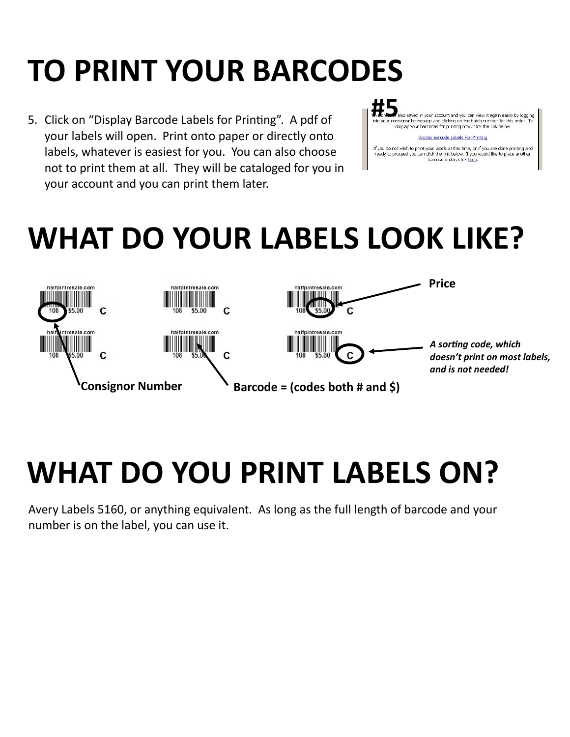## **TO PRINT YOUR BARCODES**

5. Click on "Display Barcode Labels for Printing". A pdf of your labels will open. Print onto paper or directly onto labels, whatever is easiest for you. You can also choose not to print them at all. They will be cataloged for you in your account and you can print them later.



**##5**<br>The brownloadso saved in your account and you can view it again easily by logging<br>Into your consignor homepage and clicking on the batch number for this order. To<br>display your barcodes for printing now, click the lin

#### Display Barcode Labels For Printing

If you do not wish to print your labels at this time, or if you are done printing and<br>ready to proceed you can click the link below. If you would like to place another barcode order, click here.

### **WHAT DO YOUR LABELS LOOK LIKE?**



### **WHAT DO YOU PRINT LABELS ON?**

Avery Labels 5160, or anything equivalent. As long as the full length of barcode and your number is on the label, you can use it.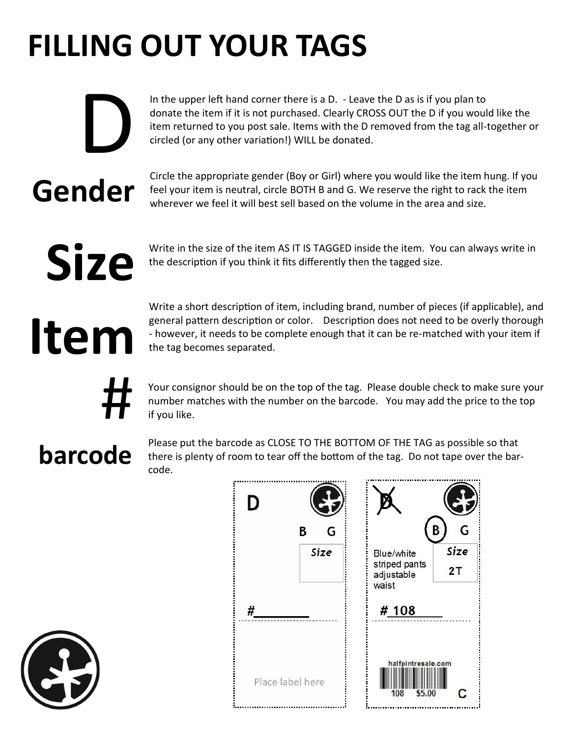# **FILLING OUT YOUR TAGS**

In the upper left hand corner there is a D. - Leave the D as is if you plan to donate the item if it is not purchased. Clearly CROSS OUT the D if you would like the item returned to you post sale. Items with the D removed from the tag all-together or circled (or any other variation!) WILL be donated.

Circle the appropriate gender (Boy or Girl) where you would like the item hung. If you feel your item is neutral, circle BOTH B and G. We reserve the right to rack the item wherever we feel it will best sell based on the volume in the area and size.

# **Size**

**Gender**

D

Write in the size of the item AS IT IS TAGGED inside the item. You can always write in the description if you think it fits differently then the tagged size.

# **Item**

Write a short description of item, including brand, number of pieces (if applicable), and general pattern description or color. Description does not need to be overly thorough - however, it needs to be complete enough that it can be re-matched with your item if the tag becomes separated.

Your consignor should be on the top of the tag. Please double check to make sure your number matches with the number on the barcode. You may add the price to the top if you like.

### **barcode**

#

Please put the barcode as CLOSE TO THE BOTTOM OF THE TAG as possible so that there is plenty of room to tear off the bottom of the tag. Do not tape over the barcode.



| D |                  |                                                           | G                 |
|---|------------------|-----------------------------------------------------------|-------------------|
|   | B<br>G<br>Size   | <b>Blue/white</b><br>striped pants<br>adjustable<br>waist | <b>Size</b><br>2T |
| # |                  | # 108                                                     |                   |
|   | Place label here | halfpintresale.com<br>\$5.00<br>108                       |                   |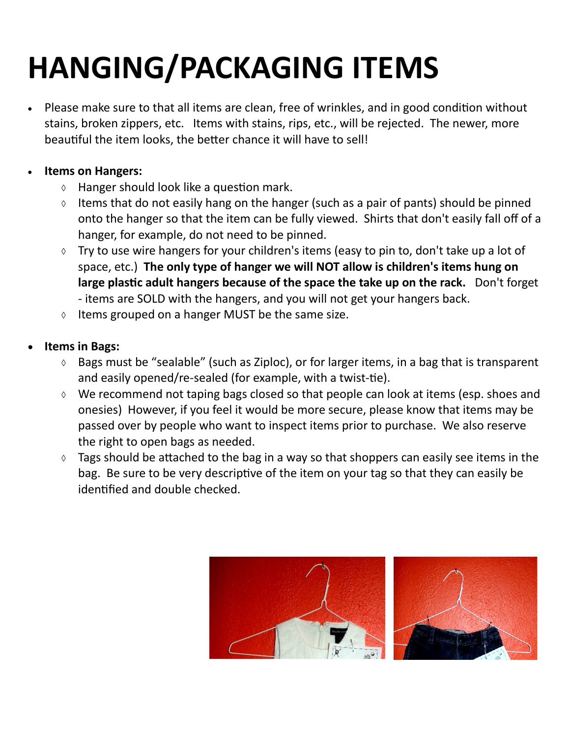# **HANGING/PACKAGING ITEMS**

• Please make sure to that all items are clean, free of wrinkles, and in good condition without stains, broken zippers, etc. Items with stains, rips, etc., will be rejected. The newer, more beautiful the item looks, the better chance it will have to sell!

### • **Items on Hangers:**

- $\Diamond$  Hanger should look like a question mark.
- Items that do not easily hang on the hanger (such as a pair of pants) should be pinned onto the hanger so that the item can be fully viewed. Shirts that don't easily fall off of a hanger, for example, do not need to be pinned.
- $\lozenge$  Try to use wire hangers for your children's items (easy to pin to, don't take up a lot of space, etc.) **The only type of hanger we will NOT allow is children's items hung on large plastic adult hangers because of the space the take up on the rack.** Don't forget - items are SOLD with the hangers, and you will not get your hangers back.
- $\Diamond$  Items grouped on a hanger MUST be the same size.

#### • **Items in Bags:**

- $\Diamond$  Bags must be "sealable" (such as Ziploc), or for larger items, in a bag that is transparent and easily opened/re-sealed (for example, with a twist-tie).
- We recommend not taping bags closed so that people can look at items (esp. shoes and onesies) However, if you feel it would be more secure, please know that items may be passed over by people who want to inspect items prior to purchase. We also reserve the right to open bags as needed.
- $\Diamond$  Tags should be attached to the bag in a way so that shoppers can easily see items in the bag. Be sure to be very descriptive of the item on your tag so that they can easily be identified and double checked.

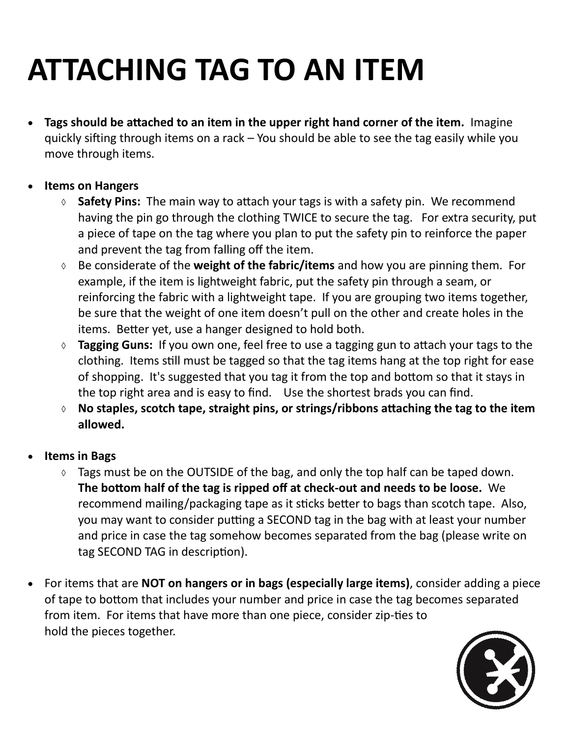## **ATTACHING TAG TO AN ITEM**

- **Tags should be attached to an item in the upper right hand corner of the item.** Imagine quickly sifting through items on a rack – You should be able to see the tag easily while you move through items.
- **Items on Hangers**
	- **Safety Pins:** The main way to attach your tags is with a safety pin. We recommend having the pin go through the clothing TWICE to secure the tag. For extra security, put a piece of tape on the tag where you plan to put the safety pin to reinforce the paper and prevent the tag from falling off the item.
	- Be considerate of the **weight of the fabric/items** and how you are pinning them. For example, if the item is lightweight fabric, put the safety pin through a seam, or reinforcing the fabric with a lightweight tape. If you are grouping two items together, be sure that the weight of one item doesn't pull on the other and create holes in the items. Better yet, use a hanger designed to hold both.
	- **Tagging Guns:** If you own one, feel free to use a tagging gun to attach your tags to the clothing. Items still must be tagged so that the tag items hang at the top right for ease of shopping. It's suggested that you tag it from the top and bottom so that it stays in the top right area and is easy to find. Use the shortest brads you can find.
	- **No staples, scotch tape, straight pins, or strings/ribbons attaching the tag to the item allowed.**
- **Items in Bags**
	- $\Diamond$  Tags must be on the OUTSIDE of the bag, and only the top half can be taped down. **The bottom half of the tag is ripped off at check-out and needs to be loose.** We recommend mailing/packaging tape as it sticks better to bags than scotch tape. Also, you may want to consider putting a SECOND tag in the bag with at least your number and price in case the tag somehow becomes separated from the bag (please write on tag SECOND TAG in description).
- For items that are **NOT on hangers or in bags (especially large items)**, consider adding a piece of tape to bottom that includes your number and price in case the tag becomes separated from item. For items that have more than one piece, consider zip-ties to hold the pieces together.

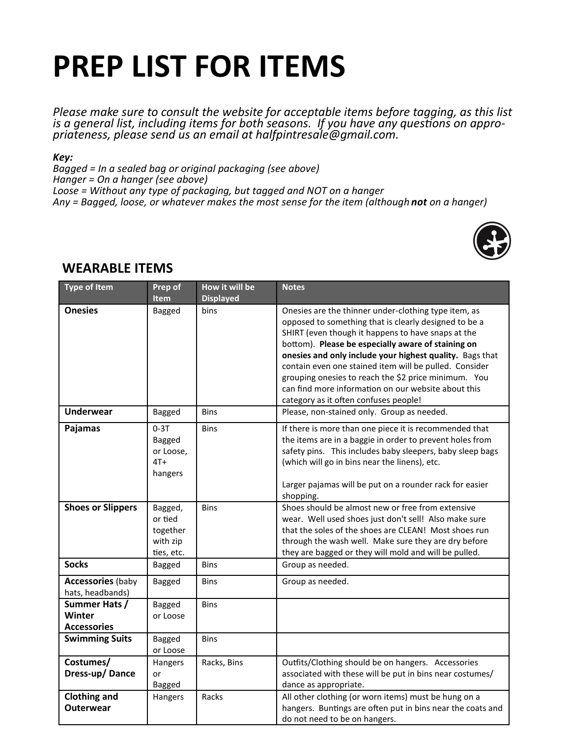## **PREP LIST FOR ITEMS**

*Please make sure to consult the website for acceptable items before tagging, as this list is a general list, including items for both seasons. If you have any questions on appropriateness, please send us an email at halfpintresale@gmail.com.* 

*Key:*

*Bagged = In a sealed bag or original packaging (see above) Hanger = On a hanger (see above) Loose = Without any type of packaging, but tagged and NOT on a hanger Any = Bagged, loose, or whatever makes the most sense for the item (although not on a hanger)*



| <b>Type of Item</b>                           | Prep of<br>Item                                          | How it will be<br><b>Displayed</b> | <b>Notes</b>                                                                                                                                                                                                                                                                                                                                                                                                                                                                                            |
|-----------------------------------------------|----------------------------------------------------------|------------------------------------|---------------------------------------------------------------------------------------------------------------------------------------------------------------------------------------------------------------------------------------------------------------------------------------------------------------------------------------------------------------------------------------------------------------------------------------------------------------------------------------------------------|
| <b>Onesies</b>                                | Bagged                                                   | bins                               | Onesies are the thinner under-clothing type item, as<br>opposed to something that is clearly designed to be a<br>SHIRT (even though it happens to have snaps at the<br>bottom). Please be especially aware of staining on<br>onesies and only include your highest quality. Bags that<br>contain even one stained item will be pulled. Consider<br>grouping onesies to reach the \$2 price minimum. You<br>can find more information on our website about this<br>category as it often confuses people! |
| <b>Underwear</b>                              | Bagged                                                   | <b>Bins</b>                        | Please, non-stained only. Group as needed.                                                                                                                                                                                                                                                                                                                                                                                                                                                              |
| Pajamas                                       | $0-3T$<br>Bagged<br>or Loose,<br>$4T+$<br>hangers        | <b>Bins</b>                        | If there is more than one piece it is recommended that<br>the items are in a baggie in order to prevent holes from<br>safety pins. This includes baby sleepers, baby sleep bags<br>(which will go in bins near the linens), etc.<br>Larger pajamas will be put on a rounder rack for easier<br>shopping.                                                                                                                                                                                                |
| <b>Shoes or Slippers</b>                      | Bagged,<br>or tied<br>together<br>with zip<br>ties, etc. | <b>Bins</b>                        | Shoes should be almost new or free from extensive<br>wear. Well used shoes just don't sell! Also make sure<br>that the soles of the shoes are CLEAN! Most shoes run<br>through the wash well. Make sure they are dry before<br>they are bagged or they will mold and will be pulled.                                                                                                                                                                                                                    |
| <b>Socks</b>                                  | Bagged                                                   | <b>Bins</b>                        | Group as needed.                                                                                                                                                                                                                                                                                                                                                                                                                                                                                        |
| <b>Accessories (baby</b><br>hats, headbands)  | Bagged                                                   | <b>Bins</b>                        | Group as needed.                                                                                                                                                                                                                                                                                                                                                                                                                                                                                        |
| Summer Hats /<br>Winter<br><b>Accessories</b> | <b>Bagged</b><br>or Loose                                | <b>Bins</b>                        |                                                                                                                                                                                                                                                                                                                                                                                                                                                                                                         |
| <b>Swimming Suits</b>                         | Bagged<br>or Loose                                       | <b>Bins</b>                        |                                                                                                                                                                                                                                                                                                                                                                                                                                                                                                         |
| Costumes/<br>Dress-up/Dance                   | Hangers<br>or<br>Bagged                                  | Racks, Bins                        | Outfits/Clothing should be on hangers. Accessories<br>associated with these will be put in bins near costumes/<br>dance as appropriate.                                                                                                                                                                                                                                                                                                                                                                 |
| <b>Clothing and</b><br><b>Outerwear</b>       | Hangers                                                  | Racks                              | All other clothing (or worn items) must be hung on a<br>hangers. Buntings are often put in bins near the coats and<br>do not need to be on hangers.                                                                                                                                                                                                                                                                                                                                                     |

### **WEARABLE ITEMS**